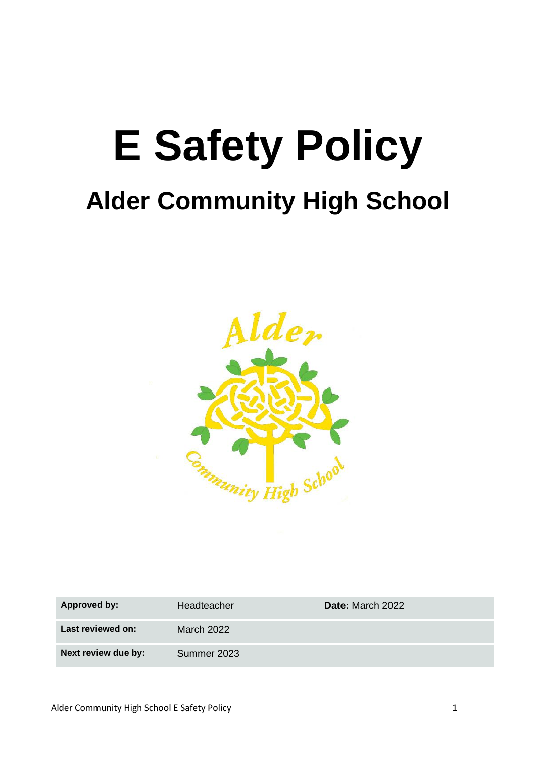# **E Safety Policy Alder Community High School**



| Approved by:        | Headteacher | Date: March 2022 |
|---------------------|-------------|------------------|
| Last reviewed on:   | March 2022  |                  |
| Next review due by: | Summer 2023 |                  |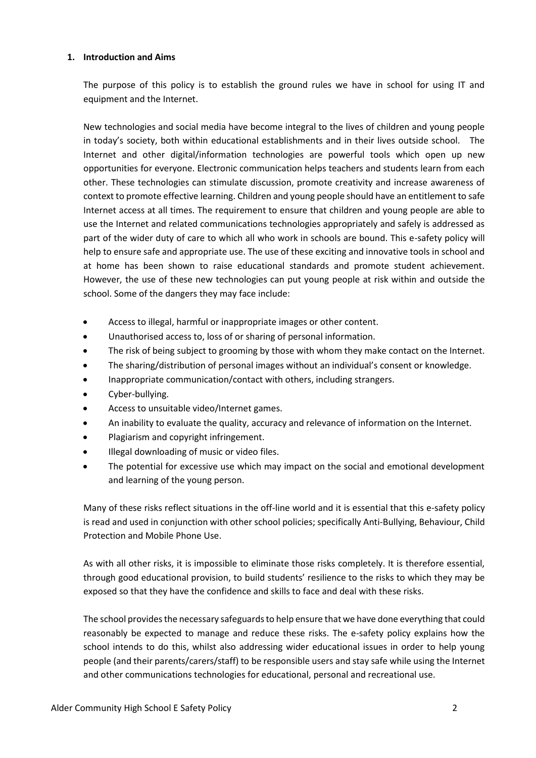#### **1. Introduction and Aims**

The purpose of this policy is to establish the ground rules we have in school for using IT and equipment and the Internet.

New technologies and social media have become integral to the lives of children and young people in today's society, both within educational establishments and in their lives outside school. The Internet and other digital/information technologies are powerful tools which open up new opportunities for everyone. Electronic communication helps teachers and students learn from each other. These technologies can stimulate discussion, promote creativity and increase awareness of context to promote effective learning. Children and young people should have an entitlement to safe Internet access at all times. The requirement to ensure that children and young people are able to use the Internet and related communications technologies appropriately and safely is addressed as part of the wider duty of care to which all who work in schools are bound. This e-safety policy will help to ensure safe and appropriate use. The use of these exciting and innovative tools in school and at home has been shown to raise educational standards and promote student achievement. However, the use of these new technologies can put young people at risk within and outside the school. Some of the dangers they may face include:

- Access to illegal, harmful or inappropriate images or other content.
- Unauthorised access to, loss of or sharing of personal information.
- The risk of being subject to grooming by those with whom they make contact on the Internet.
- The sharing/distribution of personal images without an individual's consent or knowledge.
- Inappropriate communication/contact with others, including strangers.
- Cyber-bullying.
- Access to unsuitable video/Internet games.
- An inability to evaluate the quality, accuracy and relevance of information on the Internet.
- Plagiarism and copyright infringement.
- Illegal downloading of music or video files.
- The potential for excessive use which may impact on the social and emotional development and learning of the young person.

Many of these risks reflect situations in the off-line world and it is essential that this e-safety policy is read and used in conjunction with other school policies; specifically Anti-Bullying, Behaviour, Child Protection and Mobile Phone Use.

As with all other risks, it is impossible to eliminate those risks completely. It is therefore essential, through good educational provision, to build students' resilience to the risks to which they may be exposed so that they have the confidence and skills to face and deal with these risks.

The school provides the necessary safeguards to help ensure that we have done everything that could reasonably be expected to manage and reduce these risks. The e-safety policy explains how the school intends to do this, whilst also addressing wider educational issues in order to help young people (and their parents/carers/staff) to be responsible users and stay safe while using the Internet and other communications technologies for educational, personal and recreational use.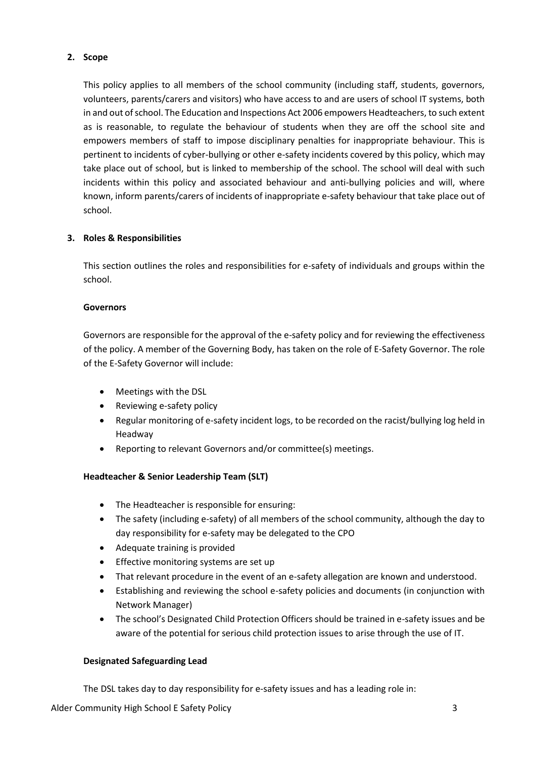# **2. Scope**

This policy applies to all members of the school community (including staff, students, governors, volunteers, parents/carers and visitors) who have access to and are users of school IT systems, both in and out of school. The Education and Inspections Act 2006 empowers Headteachers, to such extent as is reasonable, to regulate the behaviour of students when they are off the school site and empowers members of staff to impose disciplinary penalties for inappropriate behaviour. This is pertinent to incidents of cyber-bullying or other e-safety incidents covered by this policy, which may take place out of school, but is linked to membership of the school. The school will deal with such incidents within this policy and associated behaviour and anti-bullying policies and will, where known, inform parents/carers of incidents of inappropriate e-safety behaviour that take place out of school.

# **3. Roles & Responsibilities**

This section outlines the roles and responsibilities for e-safety of individuals and groups within the school.

#### **Governors**

Governors are responsible for the approval of the e-safety policy and for reviewing the effectiveness of the policy. A member of the Governing Body, has taken on the role of E-Safety Governor. The role of the E-Safety Governor will include:

- Meetings with the DSL
- Reviewing e-safety policy
- Regular monitoring of e-safety incident logs, to be recorded on the racist/bullying log held in Headway
- Reporting to relevant Governors and/or committee(s) meetings.

# **Headteacher & Senior Leadership Team (SLT)**

- The Headteacher is responsible for ensuring:
- The safety (including e-safety) of all members of the school community, although the day to day responsibility for e-safety may be delegated to the CPO
- Adequate training is provided
- Effective monitoring systems are set up
- That relevant procedure in the event of an e-safety allegation are known and understood.
- Establishing and reviewing the school e-safety policies and documents (in conjunction with Network Manager)
- The school's Designated Child Protection Officers should be trained in e-safety issues and be aware of the potential for serious child protection issues to arise through the use of IT.

# **Designated Safeguarding Lead**

The DSL takes day to day responsibility for e-safety issues and has a leading role in:

Alder Community High School E Safety Policy 3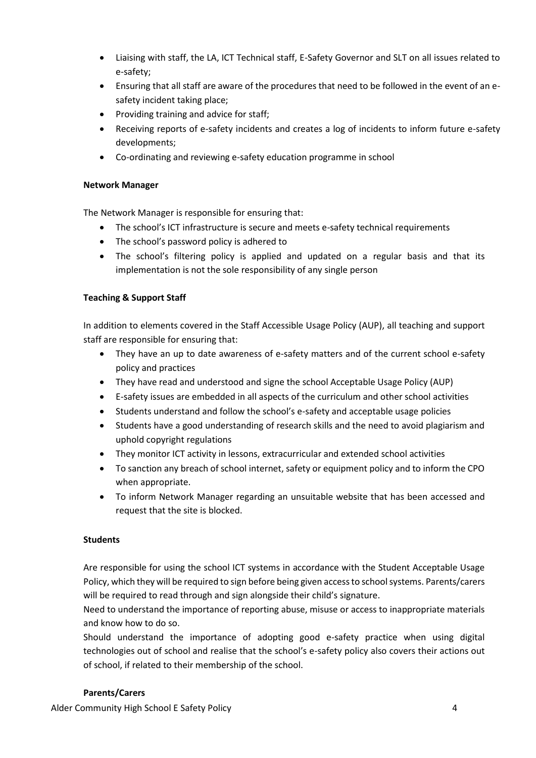- Liaising with staff, the LA, ICT Technical staff, E-Safety Governor and SLT on all issues related to e-safety;
- Ensuring that all staff are aware of the procedures that need to be followed in the event of an esafety incident taking place;
- Providing training and advice for staff;
- Receiving reports of e-safety incidents and creates a log of incidents to inform future e-safety developments;
- Co-ordinating and reviewing e-safety education programme in school

# **Network Manager**

The Network Manager is responsible for ensuring that:

- The school's ICT infrastructure is secure and meets e-safety technical requirements
- The school's password policy is adhered to
- The school's filtering policy is applied and updated on a regular basis and that its implementation is not the sole responsibility of any single person

# **Teaching & Support Staff**

In addition to elements covered in the Staff Accessible Usage Policy (AUP), all teaching and support staff are responsible for ensuring that:

- They have an up to date awareness of e-safety matters and of the current school e-safety policy and practices
- They have read and understood and signe the school Acceptable Usage Policy (AUP)
- E-safety issues are embedded in all aspects of the curriculum and other school activities
- Students understand and follow the school's e-safety and acceptable usage policies
- Students have a good understanding of research skills and the need to avoid plagiarism and uphold copyright regulations
- They monitor ICT activity in lessons, extracurricular and extended school activities
- To sanction any breach of school internet, safety or equipment policy and to inform the CPO when appropriate.
- To inform Network Manager regarding an unsuitable website that has been accessed and request that the site is blocked.

# **Students**

Are responsible for using the school ICT systems in accordance with the Student Acceptable Usage Policy, which they will be required to sign before being given access to school systems. Parents/carers will be required to read through and sign alongside their child's signature.

Need to understand the importance of reporting abuse, misuse or access to inappropriate materials and know how to do so.

Should understand the importance of adopting good e-safety practice when using digital technologies out of school and realise that the school's e-safety policy also covers their actions out of school, if related to their membership of the school.

# **Parents/Carers**

Alder Community High School E Safety Policy 4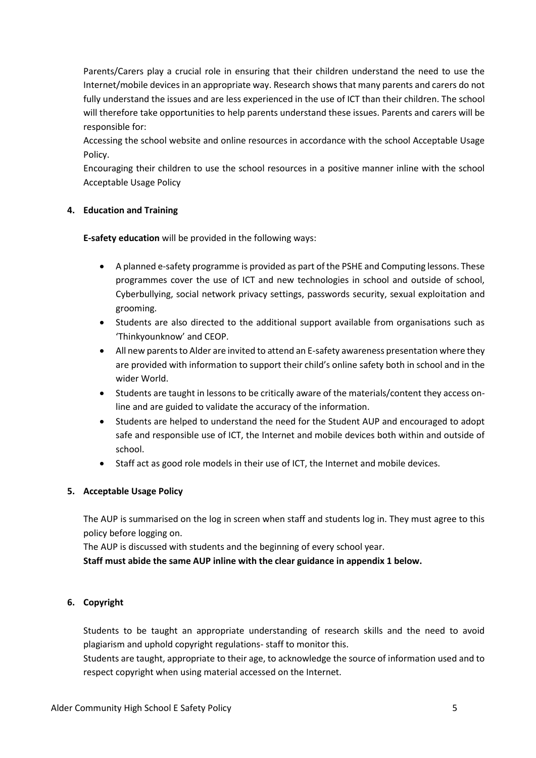Parents/Carers play a crucial role in ensuring that their children understand the need to use the Internet/mobile devices in an appropriate way. Research shows that many parents and carers do not fully understand the issues and are less experienced in the use of ICT than their children. The school will therefore take opportunities to help parents understand these issues. Parents and carers will be responsible for:

Accessing the school website and online resources in accordance with the school Acceptable Usage Policy.

Encouraging their children to use the school resources in a positive manner inline with the school Acceptable Usage Policy

# **4. Education and Training**

**E-safety education** will be provided in the following ways:

- A planned e-safety programme is provided as part of the PSHE and Computing lessons. These programmes cover the use of ICT and new technologies in school and outside of school, Cyberbullying, social network privacy settings, passwords security, sexual exploitation and grooming.
- Students are also directed to the additional support available from organisations such as 'Thinkyounknow' and CEOP.
- All new parents to Alder are invited to attend an E-safety awareness presentation where they are provided with information to support their child's online safety both in school and in the wider World.
- Students are taught in lessons to be critically aware of the materials/content they access online and are guided to validate the accuracy of the information.
- Students are helped to understand the need for the Student AUP and encouraged to adopt safe and responsible use of ICT, the Internet and mobile devices both within and outside of school.
- Staff act as good role models in their use of ICT, the Internet and mobile devices.

#### **5. Acceptable Usage Policy**

The AUP is summarised on the log in screen when staff and students log in. They must agree to this policy before logging on.

The AUP is discussed with students and the beginning of every school year.

**Staff must abide the same AUP inline with the clear guidance in appendix 1 below.**

# **6. Copyright**

Students to be taught an appropriate understanding of research skills and the need to avoid plagiarism and uphold copyright regulations- staff to monitor this.

Students are taught, appropriate to their age, to acknowledge the source of information used and to respect copyright when using material accessed on the Internet.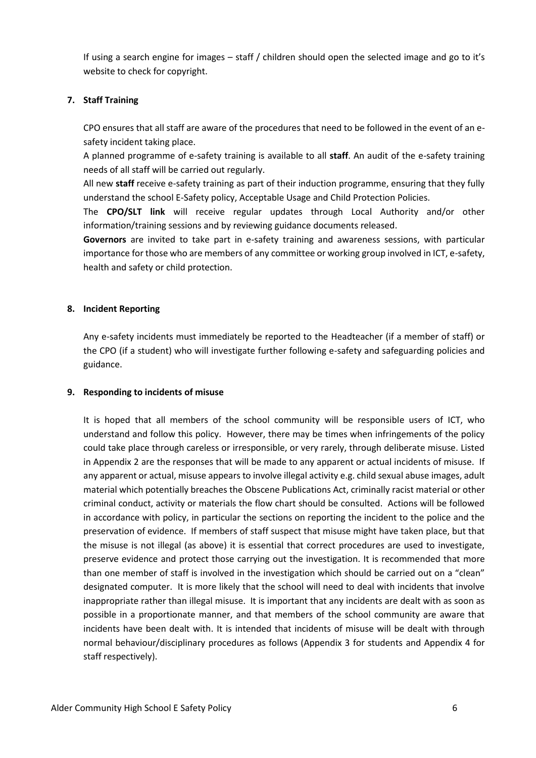If using a search engine for images – staff / children should open the selected image and go to it's website to check for copyright.

# **7. Staff Training**

CPO ensures that all staff are aware of the procedures that need to be followed in the event of an esafety incident taking place.

A planned programme of e-safety training is available to all **staff**. An audit of the e-safety training needs of all staff will be carried out regularly.

All new **staff** receive e-safety training as part of their induction programme, ensuring that they fully understand the school E-Safety policy, Acceptable Usage and Child Protection Policies.

The **CPO/SLT link** will receive regular updates through Local Authority and/or other information/training sessions and by reviewing guidance documents released.

**Governors** are invited to take part in e-safety training and awareness sessions, with particular importance for those who are members of any committee or working group involved in ICT, e-safety, health and safety or child protection.

# **8. Incident Reporting**

Any e-safety incidents must immediately be reported to the Headteacher (if a member of staff) or the CPO (if a student) who will investigate further following e-safety and safeguarding policies and guidance.

# **9. Responding to incidents of misuse**

It is hoped that all members of the school community will be responsible users of ICT, who understand and follow this policy. However, there may be times when infringements of the policy could take place through careless or irresponsible, or very rarely, through deliberate misuse. Listed in Appendix 2 are the responses that will be made to any apparent or actual incidents of misuse. If any apparent or actual, misuse appears to involve illegal activity e.g. child sexual abuse images, adult material which potentially breaches the Obscene Publications Act, criminally racist material or other criminal conduct, activity or materials the flow chart should be consulted. Actions will be followed in accordance with policy, in particular the sections on reporting the incident to the police and the preservation of evidence. If members of staff suspect that misuse might have taken place, but that the misuse is not illegal (as above) it is essential that correct procedures are used to investigate, preserve evidence and protect those carrying out the investigation. It is recommended that more than one member of staff is involved in the investigation which should be carried out on a "clean" designated computer. It is more likely that the school will need to deal with incidents that involve inappropriate rather than illegal misuse. It is important that any incidents are dealt with as soon as possible in a proportionate manner, and that members of the school community are aware that incidents have been dealt with. It is intended that incidents of misuse will be dealt with through normal behaviour/disciplinary procedures as follows (Appendix 3 for students and Appendix 4 for staff respectively).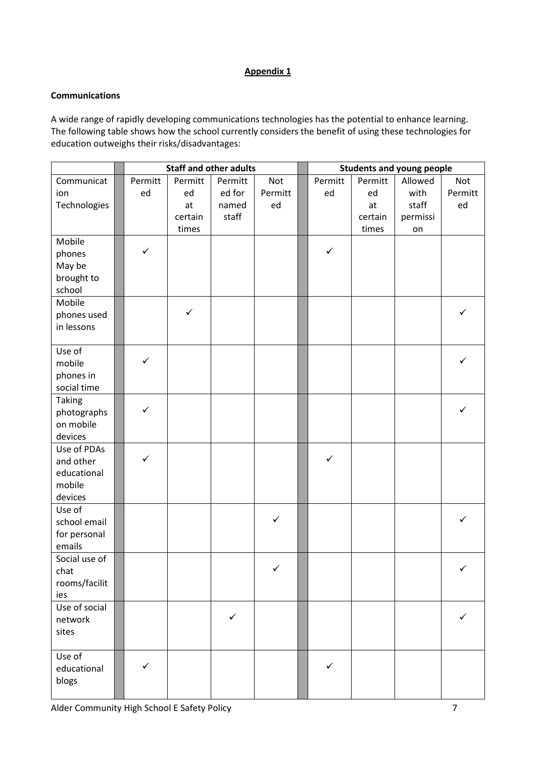# **Appendix 1**

# **Communications**

A wide range of rapidly developing communications technologies has the potential to enhance learning. The following table shows how the school currently considers the benefit of using these technologies for education outweighs their risks/disadvantages:

|                        | <b>Staff and other adults</b> |         |         | <b>Students and young people</b> |              |         |          |         |
|------------------------|-------------------------------|---------|---------|----------------------------------|--------------|---------|----------|---------|
| Communicat             | Permitt                       | Permitt | Permitt | Not                              | Permitt      | Permitt | Allowed  | Not     |
| ion                    | ed                            | ed      | ed for  | Permitt                          | ed           | ed      | with     | Permitt |
| Technologies           |                               | at      | named   | ed                               |              | at      | staff    | ed      |
|                        |                               | certain | staff   |                                  |              | certain | permissi |         |
|                        |                               | times   |         |                                  |              | times   | on       |         |
| Mobile                 |                               |         |         |                                  |              |         |          |         |
| phones                 | $\checkmark$                  |         |         |                                  | $\checkmark$ |         |          |         |
| May be                 |                               |         |         |                                  |              |         |          |         |
| brought to             |                               |         |         |                                  |              |         |          |         |
| school                 |                               |         |         |                                  |              |         |          |         |
| Mobile                 |                               | ✓       |         |                                  |              |         |          | ✓       |
| phones used            |                               |         |         |                                  |              |         |          |         |
| in lessons             |                               |         |         |                                  |              |         |          |         |
| Use of                 |                               |         |         |                                  |              |         |          |         |
| mobile                 | $\checkmark$                  |         |         |                                  |              |         |          |         |
| phones in              |                               |         |         |                                  |              |         |          |         |
| social time            |                               |         |         |                                  |              |         |          |         |
| <b>Taking</b>          |                               |         |         |                                  |              |         |          |         |
| photographs            | $\checkmark$                  |         |         |                                  |              |         |          | ✓       |
| on mobile              |                               |         |         |                                  |              |         |          |         |
| devices                |                               |         |         |                                  |              |         |          |         |
| Use of PDAs            |                               |         |         |                                  |              |         |          |         |
| and other              | $\checkmark$                  |         |         |                                  | ✓            |         |          |         |
| educational            |                               |         |         |                                  |              |         |          |         |
| mobile                 |                               |         |         |                                  |              |         |          |         |
| devices                |                               |         |         |                                  |              |         |          |         |
| Use of                 |                               |         |         | $\checkmark$                     |              |         |          | ✓       |
| school email           |                               |         |         |                                  |              |         |          |         |
| for personal<br>emails |                               |         |         |                                  |              |         |          |         |
| Social use of          |                               |         |         |                                  |              |         |          |         |
| chat                   |                               |         |         |                                  |              |         |          |         |
| rooms/facilit          |                               |         |         |                                  |              |         |          |         |
| ies                    |                               |         |         |                                  |              |         |          |         |
| Use of social          |                               |         |         |                                  |              |         |          |         |
| network                |                               |         | ✓       |                                  |              |         |          |         |
| sites                  |                               |         |         |                                  |              |         |          |         |
|                        |                               |         |         |                                  |              |         |          |         |
| Use of                 |                               |         |         |                                  |              |         |          |         |
| educational            | $\checkmark$                  |         |         |                                  | $\checkmark$ |         |          |         |
| blogs                  |                               |         |         |                                  |              |         |          |         |
|                        |                               |         |         |                                  |              |         |          |         |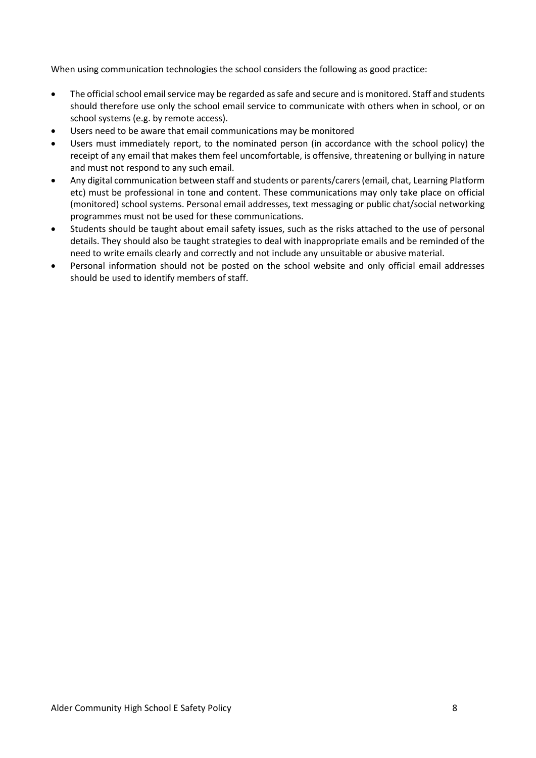When using communication technologies the school considers the following as good practice:

- The official school email service may be regarded as safe and secure and is monitored. Staff and students should therefore use only the school email service to communicate with others when in school, or on school systems (e.g. by remote access).
- Users need to be aware that email communications may be monitored
- Users must immediately report, to the nominated person (in accordance with the school policy) the receipt of any email that makes them feel uncomfortable, is offensive, threatening or bullying in nature and must not respond to any such email.
- Any digital communication between staff and students or parents/carers (email, chat, Learning Platform etc) must be professional in tone and content. These communications may only take place on official (monitored) school systems. Personal email addresses, text messaging or public chat/social networking programmes must not be used for these communications.
- Students should be taught about email safety issues, such as the risks attached to the use of personal details. They should also be taught strategies to deal with inappropriate emails and be reminded of the need to write emails clearly and correctly and not include any unsuitable or abusive material.
- Personal information should not be posted on the school website and only official email addresses should be used to identify members of staff.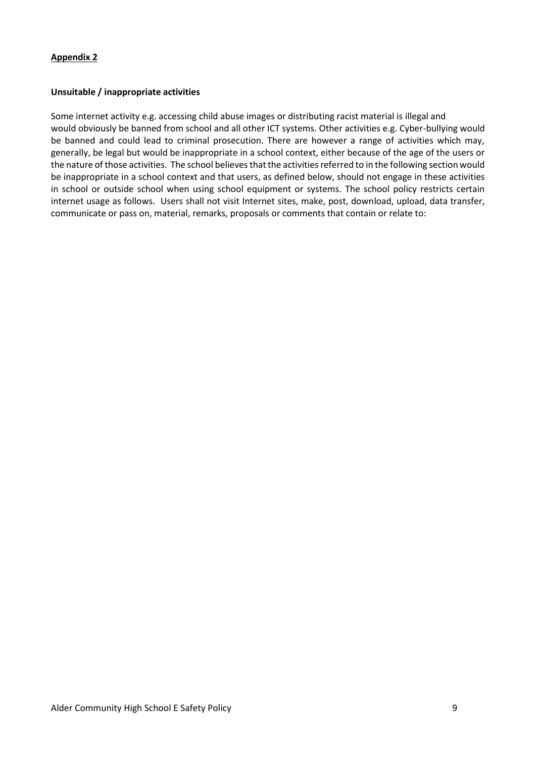#### **Unsuitable / inappropriate activities**

Some internet activity e.g. accessing child abuse images or distributing racist material is illegal and would obviously be banned from school and all other ICT systems. Other activities e.g. Cyber-bullying would be banned and could lead to criminal prosecution. There are however a range of activities which may, generally, be legal but would be inappropriate in a school context, either because of the age of the users or the nature of those activities. The school believes that the activities referred to in the following section would be inappropriate in a school context and that users, as defined below, should not engage in these activities in school or outside school when using school equipment or systems. The school policy restricts certain internet usage as follows. Users shall not visit Internet sites, make, post, download, upload, data transfer, communicate or pass on, material, remarks, proposals or comments that contain or relate to: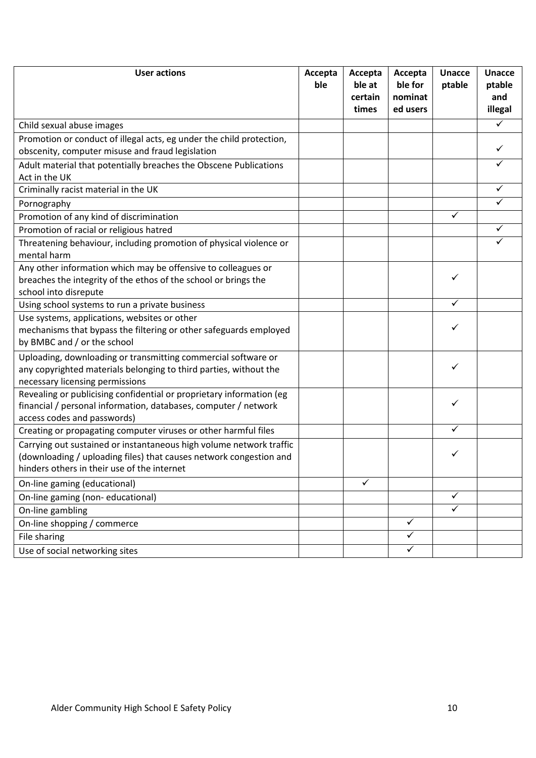| <b>User actions</b>                                                                                                                                                                      | Accepta<br>ble | Accepta<br>ble at<br>certain<br>times | Accepta<br>ble for<br>nominat<br>ed users | <b>Unacce</b><br>ptable | <b>Unacce</b><br>ptable<br>and<br>illegal |
|------------------------------------------------------------------------------------------------------------------------------------------------------------------------------------------|----------------|---------------------------------------|-------------------------------------------|-------------------------|-------------------------------------------|
| Child sexual abuse images                                                                                                                                                                |                |                                       |                                           |                         |                                           |
| Promotion or conduct of illegal acts, eg under the child protection,<br>obscenity, computer misuse and fraud legislation                                                                 |                |                                       |                                           |                         |                                           |
| Adult material that potentially breaches the Obscene Publications<br>Act in the UK                                                                                                       |                |                                       |                                           |                         | ✓                                         |
| Criminally racist material in the UK                                                                                                                                                     |                |                                       |                                           |                         |                                           |
| Pornography                                                                                                                                                                              |                |                                       |                                           |                         |                                           |
| Promotion of any kind of discrimination                                                                                                                                                  |                |                                       |                                           | ✓                       |                                           |
| Promotion of racial or religious hatred                                                                                                                                                  |                |                                       |                                           |                         | ✓                                         |
| Threatening behaviour, including promotion of physical violence or<br>mental harm                                                                                                        |                |                                       |                                           |                         |                                           |
| Any other information which may be offensive to colleagues or<br>breaches the integrity of the ethos of the school or brings the<br>school into disrepute                                |                |                                       |                                           | ✓                       |                                           |
| Using school systems to run a private business                                                                                                                                           |                |                                       |                                           | ✓                       |                                           |
| Use systems, applications, websites or other<br>mechanisms that bypass the filtering or other safeguards employed<br>by BMBC and / or the school                                         |                |                                       |                                           | ✓                       |                                           |
| Uploading, downloading or transmitting commercial software or<br>any copyrighted materials belonging to third parties, without the<br>necessary licensing permissions                    |                |                                       |                                           | ✓                       |                                           |
| Revealing or publicising confidential or proprietary information (eg<br>financial / personal information, databases, computer / network<br>access codes and passwords)                   |                |                                       |                                           | ✓                       |                                           |
| Creating or propagating computer viruses or other harmful files                                                                                                                          |                |                                       |                                           |                         |                                           |
| Carrying out sustained or instantaneous high volume network traffic<br>(downloading / uploading files) that causes network congestion and<br>hinders others in their use of the internet |                |                                       |                                           |                         |                                           |
| On-line gaming (educational)                                                                                                                                                             |                | $\checkmark$                          |                                           |                         |                                           |
| On-line gaming (non-educational)                                                                                                                                                         |                |                                       |                                           | ✓                       |                                           |
| On-line gambling                                                                                                                                                                         |                |                                       |                                           | ✓                       |                                           |
| On-line shopping / commerce                                                                                                                                                              |                |                                       | $\checkmark$                              |                         |                                           |
| File sharing                                                                                                                                                                             |                |                                       | $\checkmark$                              |                         |                                           |
| Use of social networking sites                                                                                                                                                           |                |                                       | $\checkmark$                              |                         |                                           |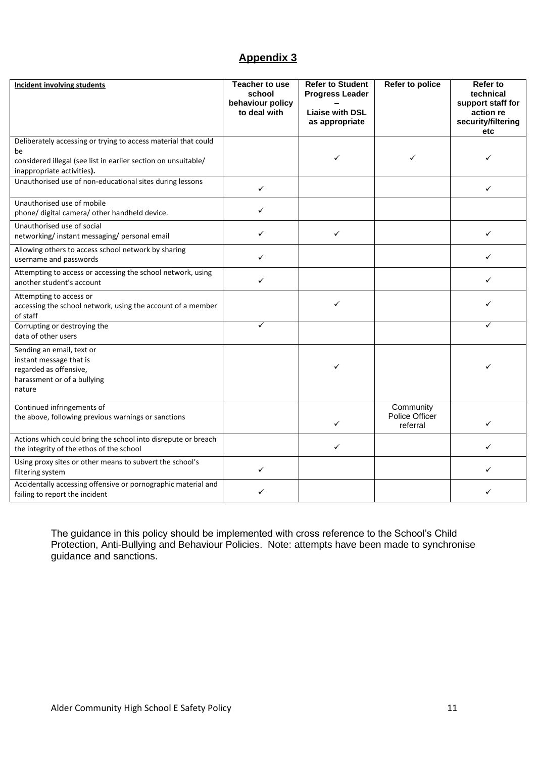# **Appendix 3**

| <b>Incident involving students</b>                                                                                                                                   | <b>Teacher to use</b><br>school<br>behaviour policy<br>to deal with | <b>Refer to Student</b><br><b>Progress Leader</b><br><b>Liaise with DSL</b><br>as appropriate | Refer to police                         | Refer to<br>technical<br>support staff for<br>action re<br>security/filtering<br>etc |
|----------------------------------------------------------------------------------------------------------------------------------------------------------------------|---------------------------------------------------------------------|-----------------------------------------------------------------------------------------------|-----------------------------------------|--------------------------------------------------------------------------------------|
| Deliberately accessing or trying to access material that could<br>be<br>considered illegal (see list in earlier section on unsuitable/<br>inappropriate activities). |                                                                     | $\checkmark$                                                                                  | ✓                                       | ✓                                                                                    |
| Unauthorised use of non-educational sites during lessons                                                                                                             | $\checkmark$                                                        |                                                                                               |                                         | ✓                                                                                    |
| Unauthorised use of mobile<br>phone/ digital camera/ other handheld device.                                                                                          | $\checkmark$                                                        |                                                                                               |                                         |                                                                                      |
| Unauthorised use of social<br>networking/instant messaging/personal email                                                                                            | $\checkmark$                                                        | ✓                                                                                             |                                         | ✓                                                                                    |
| Allowing others to access school network by sharing<br>username and passwords                                                                                        | $\checkmark$                                                        |                                                                                               |                                         | ✓                                                                                    |
| Attempting to access or accessing the school network, using<br>another student's account                                                                             | $\checkmark$                                                        |                                                                                               |                                         | ✓                                                                                    |
| Attempting to access or<br>accessing the school network, using the account of a member<br>of staff                                                                   |                                                                     | $\checkmark$                                                                                  |                                         | ✓                                                                                    |
| Corrupting or destroying the<br>data of other users                                                                                                                  | $\checkmark$                                                        |                                                                                               |                                         | ✓                                                                                    |
| Sending an email, text or<br>instant message that is<br>regarded as offensive,<br>harassment or of a bullying<br>nature                                              |                                                                     | ✓                                                                                             |                                         | ✓                                                                                    |
| Continued infringements of<br>the above, following previous warnings or sanctions                                                                                    |                                                                     | ✓                                                                                             | Community<br>Police Officer<br>referral | $\checkmark$                                                                         |
| Actions which could bring the school into disrepute or breach<br>the integrity of the ethos of the school                                                            |                                                                     | ✓                                                                                             |                                         | ✓                                                                                    |
| Using proxy sites or other means to subvert the school's<br>filtering system                                                                                         | $\checkmark$                                                        |                                                                                               |                                         | ✓                                                                                    |
| Accidentally accessing offensive or pornographic material and<br>failing to report the incident                                                                      | ✓                                                                   |                                                                                               |                                         | ✓                                                                                    |

The guidance in this policy should be implemented with cross reference to the School's Child Protection, Anti-Bullying and Behaviour Policies. Note: attempts have been made to synchronise guidance and sanctions.